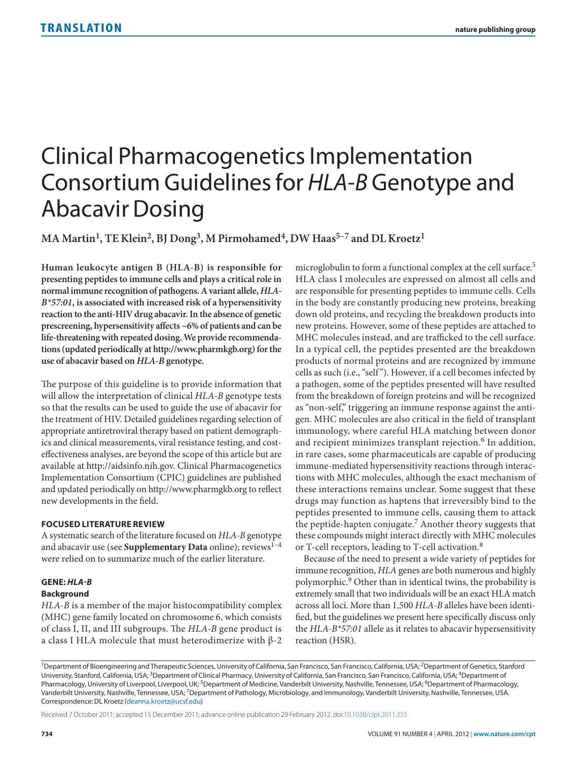# Clinical Pharmacogenetics Implementation Consortium Guidelines for *HLA-B* Genotype and Abacavir Dosing

MA Martin<sup>1</sup>, TE Klein<sup>2</sup>, BJ Dong<sup>3</sup>, M Pirmohamed<sup>4</sup>, DW Haas<sup>5-7</sup> and DL Kroetz<sup>1</sup>

**Human leukocyte antigen B (HLA-B) is responsible for presenting peptides to immune cells and plays a critical role in normal immune recognition of pathogens. A variant allele,** *HLA-B\*57:01***, is associated with increased risk of a hypersensitivity reaction to the anti-HIV drug abacavir. In the absence of genetic prescreening, hypersensitivity affects ~6% of patients and can be life-threatening with repeated dosing. We provide recommendations (updated periodically at [http://www.pharmkgb.org](http://www.�pharmkgb.org)) for the use of abacavir based on** *HLA-B* **genotype.**

The purpose of this guideline is to provide information that will allow the interpretation of clinical *HLA-B* genotype tests so that the results can be used to guide the use of abacavir for the treatment of HIV. Detailed guidelines regarding selection of appropriate antiretroviral therapy based on patient demographics and clinical measurements, viral resistance testing, and costeffectiveness analyses, are beyond the scope of this article but are available at<http://aidsinfo.nih.gov.> Clinical Pharmacogenetics Implementation Consortium (CPIC) guidelines are published and updated periodically on<http://www.pharmgkb.org> to reflect new developments in the field.

# **Focused Literature Review**

A systematic search of the literature focused on *HLA-B* genotype and abacavir use (see **Supplementary Data** online); reviews<sup>1-4</sup> were relied on to summarize much of the earlier literature.

# **Gene:** *Hla-B*

# **Background**

*HLA-B* is a member of the major histocompatibility complex (MHC) gene family located on chromosome 6, which consists of class I, II, and III subgroups. The *HLA-B* gene product is a class I HLA molecule that must heterodimerize with β-2 microglobulin to form a functional complex at the cell surface.<sup>5</sup> HLA class I molecules are expressed on almost all cells and are responsible for presenting peptides to immune cells. Cells in the body are constantly producing new proteins, breaking down old proteins, and recycling the breakdown products into new proteins. However, some of these peptides are attached to MHC molecules instead, and are trafficked to the cell surface. In a typical cell, the peptides presented are the breakdown products of normal proteins and are recognized by immune cells as such (i.e., "self "). However, if a cell becomes infected by a pathogen, some of the peptides presented will have resulted from the breakdown of foreign proteins and will be recognized as "non-self," triggering an immune response against the antigen. MHC molecules are also critical in the field of transplant immunology, where careful HLA matching between donor and recipient minimizes transplant rejection.<sup>6</sup> In addition, in rare cases, some pharmaceuticals are capable of producing immune-mediated hypersensitivity reactions through interactions with MHC molecules, although the exact mechanism of these interactions remains unclear. Some suggest that these drugs may function as haptens that irreversibly bind to the peptides presented to immune cells, causing them to attack the peptide-hapten conjugate.7 Another theory suggests that these compounds might interact directly with MHC molecules or T-cell receptors, leading to T-cell activation.<sup>8</sup>

Because of the need to present a wide variety of peptides for immune recognition, *HLA* genes are both numerous and highly polymorphic.9 Other than in identical twins, the probability is extremely small that two individuals will be an exact HLA match across all loci. More than 1,500 *HLA-B* alleles have been identified, but the guidelines we present here specifically discuss only the *HLA-B\*57:01* allele as it relates to abacavir hypersensitivity reaction (HSR).

Received 7 October 2011; accepted 15 December 2011; advance online publication 29 February 2012. [doi:10.1038/clpt.2011.355](http://www.nature.com/doifinder/doi:10.1038/clpt.2011.355)

<sup>&</sup>lt;sup>1</sup>Department of Bioengineering and Therapeutic Sciences, University of California, San Francisco, San Francisco, California, USA; <sup>2</sup>Department of Genetics, Stanford University, Stanford, California, USA;<sup>3</sup>Department of Clinical Pharmacy, University of California, San Francisco, San Francisco, California, USA;<sup>4</sup>Department of Pharmacology, University of Liverpool, Liverpool, UK; <sup>5</sup>Department of Medicine, Vanderbilt University, Nashville, Tennessee, USA; <sup>6</sup>Department of Pharmacology, Vanderbilt University, Nashville, Tennessee, USA; 7Department of Pathology, Microbiology, and Immunology, Vanderbilt University, Nashville, Tennessee, USA. Correspondence: DL Kroetz [\(deanna.kroetz@ucsf.edu\)](mailto:deanna.kroetz@ucsf.edu)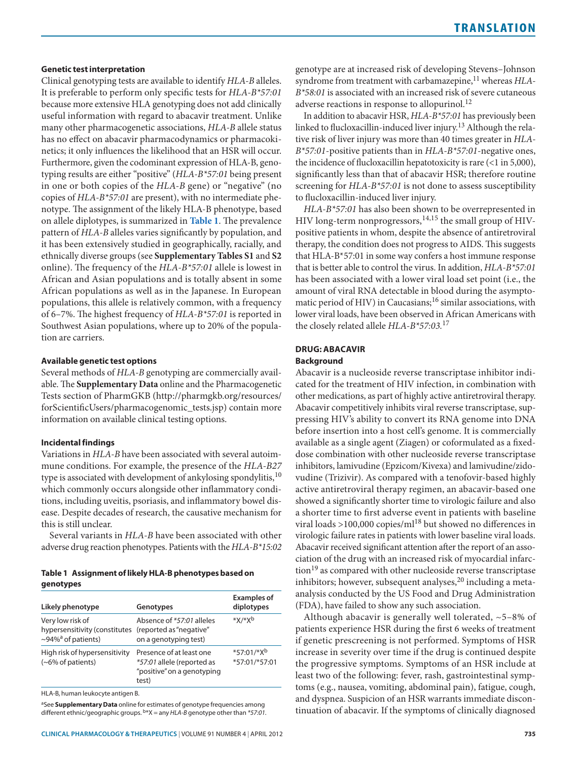# **Genetic test interpretation**

Clinical genotyping tests are available to identify *HLA-B* alleles. It is preferable to perform only specific tests for *HLA-B\*57:01* because more extensive HLA genotyping does not add clinically useful information with regard to abacavir treatment. Unlike many other pharmacogenetic associations, *HLA-B* allele status has no effect on abacavir pharmacodynamics or pharmacokinetics; it only influences the likelihood that an HSR will occur. Furthermore, given the codominant expression of HLA-B, genotyping results are either "positive" (*HLA-B\*57:01* being present in one or both copies of the *HLA-B* gene) or "negative" (no copies of *HLA-B\*57:01* are present), with no intermediate phenotype. The assignment of the likely HLA-B phenotype, based on allele diplotypes, is summarized in **[Table](#page-1-0) 1**. The prevalence pattern of *HLA-B* alleles varies significantly by population, and it has been extensively studied in geographically, racially, and ethnically diverse groups (see **Supplementary Tables S1** and **S2** online). The frequency of the *HLA-B\*57:01* allele is lowest in African and Asian populations and is totally absent in some African populations as well as in the Japanese. In European populations, this allele is relatively common, with a frequency of 6–7%. The highest frequency of *HLA-B\*57:01* is reported in Southwest Asian populations, where up to 20% of the population are carriers.

## **Available genetic test options**

Several methods of *HLA-B* genotyping are commercially available. The **Supplementary Data** online and the Pharmacogenetic Tests section of PharmGKB ([http://pharmgkb.org/resources/](http://pharmgkb.org/resources/forScientificUsers/pharmacogenomic_tests.jsp) [forScientificUsers/pharmacogenomic\\_tests.jsp](http://pharmgkb.org/resources/forScientificUsers/pharmacogenomic_tests.jsp)) contain more information on available clinical testing options.

#### **Incidental findings**

Variations in *HLA-B* have been associated with several autoimmune conditions. For example, the presence of the *HLA-B27* type is associated with development of ankylosing spondylitis,<sup>10</sup> which commonly occurs alongside other inflammatory conditions, including uveitis, psoriasis, and inflammatory bowel disease. Despite decades of research, the causative mechanism for this is still unclear.

Several variants in *HLA-B* have been associated with other adverse drug reaction phenotypes. Patients with the *HLA-B\*15:02*

## <span id="page-1-0"></span>**Table 1 Assignment of likely HLA-B phenotypes based on genotypes**

| Likely phenotype                                                                                            | Genotypes                                                                                     | <b>Examples of</b><br>diplotypes |
|-------------------------------------------------------------------------------------------------------------|-----------------------------------------------------------------------------------------------|----------------------------------|
| Very low risk of<br>hypersensitivity (constitutes (reported as "negative"<br>~94% <sup>a</sup> of patients) | Absence of *57:01 alleles<br>on a genotyping test)                                            | $*X/*Yb$                         |
| High risk of hypersensitivity<br>(~6% of patients)                                                          | Presence of at least one<br>*57:01 allele (reported as<br>"positive" on a genotyping<br>test) | $*57:01/*X^b$<br>*57:01/*57:01   |

HLA-B, human leukocyte antigen B.

aSee **Supplementary Data** online for estimates of genotype frequencies among different ethnic/geographic groups. b\*X = any *HLA-B* genotype other than *\*57:01.* genotype are at increased risk of developing Stevens–Johnson syndrome from treatment with carbamazepine,<sup>11</sup> whereas *HLA*-*B\*58:01* is associated with an increased risk of severe cutaneous adverse reactions in response to allopurinol.<sup>12</sup>

In addition to abacavir HSR, *HLA-B\*57:01* has previously been linked to flucloxacillin-induced liver injury.13 Although the relative risk of liver injury was more than 40 times greater in *HLA-B\*57:01*-positive patients than in *HLA-B\*57:01*-negative ones, the incidence of flucloxacillin hepatotoxicity is rare (<1 in 5,000), significantly less than that of abacavir HSR; therefore routine screening for *HLA-B\*57:01* is not done to assess susceptibility to flucloxacillin-induced liver injury.

*HLA-B\*57:01* has also been shown to be overrepresented in HIV long-term nonprogressors,  $14,15$  the small group of HIVpositive patients in whom, despite the absence of antiretroviral therapy, the condition does not progress to AIDS. This suggests that HLA-B\*57:01 in some way confers a host immune response that is better able to control the virus. In addition, *HLA-B\*57:01* has been associated with a lower viral load set point (i.e., the amount of viral RNA detectable in blood during the asymptomatic period of HIV) in Caucasians;<sup>16</sup> similar associations, with lower viral loads, have been observed in African Americans with the closely related allele *HLA-B\*57:03.*<sup>17</sup>

# **Drug: Abacavir**

# **Background**

Abacavir is a nucleoside reverse transcriptase inhibitor indicated for the treatment of HIV infection, in combination with other medications, as part of highly active antiretroviral therapy. Abacavir competitively inhibits viral reverse transcriptase, suppressing HIV's ability to convert its RNA genome into DNA before insertion into a host cell's genome. It is commercially available as a single agent (Ziagen) or coformulated as a fixeddose combination with other nucleoside reverse transcriptase inhibitors, lamivudine (Epzicom/Kivexa) and lamivudine/zidovudine (Trizivir). As compared with a tenofovir-based highly active antiretroviral therapy regimen, an abacavir-based one showed a significantly shorter time to virologic failure and also a shorter time to first adverse event in patients with baseline viral loads  $>100,000$  copies/ml<sup>18</sup> but showed no differences in virologic failure rates in patients with lower baseline viral loads. Abacavir received significant attention after the report of an association of the drug with an increased risk of myocardial infarc- $\chi$  tion<sup>19</sup> as compared with other nucleoside reverse transcriptase inhibitors; however, subsequent analyses, $20$  including a metaanalysis conducted by the US Food and Drug Administration (FDA), have failed to show any such association.

Although abacavir is generally well tolerated, ~5–8% of patients experience HSR during the first 6 weeks of treatment if genetic prescreening is not performed. Symptoms of HSR increase in severity over time if the drug is continued despite the progressive symptoms. Symptoms of an HSR include at least two of the following: fever, rash, gastrointestinal symptoms (e.g., nausea, vomiting, abdominal pain), fatigue, cough, and dyspnea. Suspicion of an HSR warrants immediate discontinuation of abacavir. If the symptoms of clinically diagnosed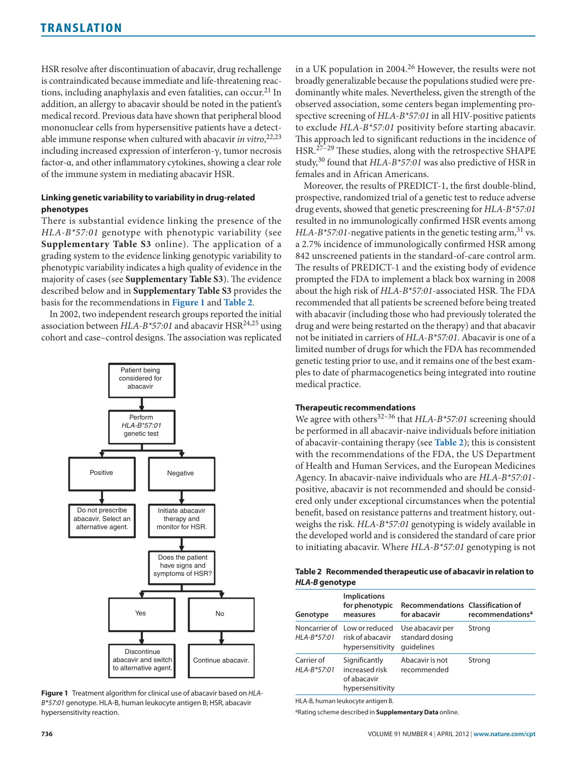HSR resolve after discontinuation of abacavir, drug rechallenge is contraindicated because immediate and life-threatening reactions, including anaphylaxis and even fatalities, can occur.<sup>21</sup> In addition, an allergy to abacavir should be noted in the patient's medical record. Previous data have shown that peripheral blood mononuclear cells from hypersensitive patients have a detectable immune response when cultured with abacavir *in vitro*, 22,23 including increased expression of interferon-γ, tumor necrosis factor-α, and other inflammatory cytokines, showing a clear role of the immune system in mediating abacavir HSR.

# **Linking genetic variability to variability in drug-related phenotypes**

There is substantial evidence linking the presence of the *HLA-B\*57:01* genotype with phenotypic variability (see **Supplementary Table S3** online). The application of a grading system to the evidence linking genotypic variability to phenotypic variability indicates a high quality of evidence in the majority of cases (see **Supplementary Table S3**). The evidence described below and in **Supplementary Table S3** provides the basis for the recommendations in **[Figure](#page-2-0) 1** and **[Table](#page-2-1) 2**.

In 2002, two independent research groups reported the initial association between *HLA-B\*57:01* and abacavir HSR<sup>24,25</sup> using cohort and case–control designs. The association was replicated

<span id="page-2-0"></span>

**Figure 1** Treatment algorithm for clinical use of abacavir based on *HLA-B\*57:01* genotype. HLA-B, human leukocyte antigen B; HSR, abacavir hypersensitivity reaction.

in a UK population in 2004.<sup>26</sup> However, the results were not broadly generalizable because the populations studied were predominantly white males. Nevertheless, given the strength of the observed association, some centers began implementing prospective screening of *HLA-B\*57:01* in all HIV-positive patients to exclude *HLA-B\*57:01* positivity before starting abacavir. This approach led to significant reductions in the incidence of HSR.27–29 These studies, along with the retrospective SHAPE study,30 found that *HLA-B\*57:01* was also predictive of HSR in females and in African Americans.

Moreover, the results of PREDICT-1, the first double-blind, prospective, randomized trial of a genetic test to reduce adverse drug events, showed that genetic prescreening for *HLA-B\*57:01* resulted in no immunologically confirmed HSR events among *HLA-B\*57:01*-negative patients in the genetic testing arm,  $31$  vs. a 2.7% incidence of immunologically confirmed HSR among 842 unscreened patients in the standard-of-care control arm. The results of PREDICT-1 and the existing body of evidence prompted the FDA to implement a black box warning in 2008 about the high risk of *HLA-B\*57:01*-associated HSR. The FDA recommended that all patients be screened before being treated with abacavir (including those who had previously tolerated the drug and were being restarted on the therapy) and that abacavir not be initiated in carriers of *HLA-B\*57:01*. Abacavir is one of a limited number of drugs for which the FDA has recommended genetic testing prior to use, and it remains one of the best examples to date of pharmacogenetics being integrated into routine medical practice.

### **Therapeutic recommendations**

We agree with others<sup>32-36</sup> that *HLA-B\*57:01* screening should be performed in all abacavir-naive individuals before initiation of abacavir-containing therapy (see **[Table](#page-2-1) 2**); this is consistent with the recommendations of the FDA, the US Department of Health and Human Services, and the European Medicines Agency. In abacavir-naive individuals who are *HLA-B\*57:01* positive, abacavir is not recommended and should be considered only under exceptional circumstances when the potential benefit, based on resistance patterns and treatment history, outweighs the risk. *HLA-B\*57:01* genotyping is widely available in the developed world and is considered the standard of care prior to initiating abacavir. Where *HLA-B\*57:01* genotyping is not

#### <span id="page-2-1"></span>**Table 2 Recommended therapeutic use of abacavir in relation to**  *HLA-B* **genotype**

| Genotype                    | <b>Implications</b><br>for phenotypic<br>measures                    | <b>Recommendations Classification of</b><br>for abacavir | recommendations <sup>a</sup> |
|-----------------------------|----------------------------------------------------------------------|----------------------------------------------------------|------------------------------|
| $HLA-B*57:01$               | Noncarrier of Low or reduced<br>risk of abacavir<br>hypersensitivity | Use abacavir per<br>standard dosing<br>quidelines        | Strong                       |
| Carrier of<br>$HLA-B*57:01$ | Significantly<br>increased risk<br>of abacavir<br>hypersensitivity   | Abacavir is not<br>recommended                           | Strong                       |

HLA-B, human leukocyte antigen B.

aRating scheme described in **Supplementary Data** online.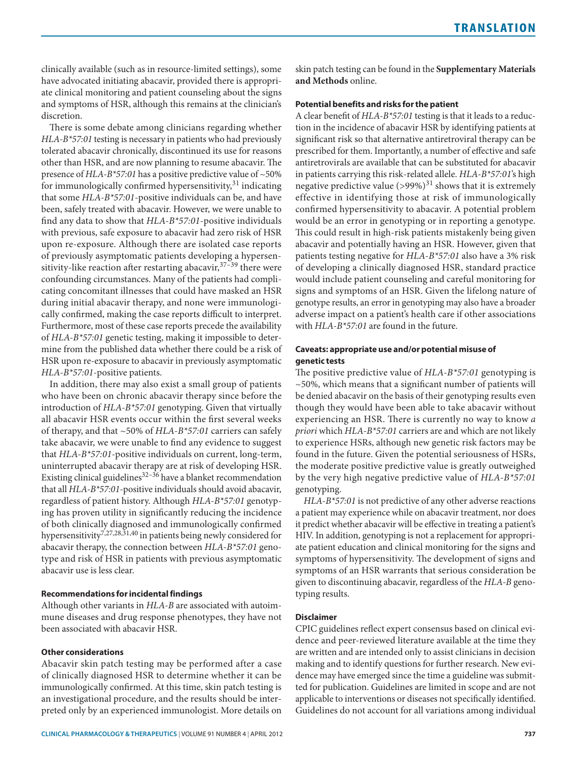clinically available (such as in resource-limited settings), some have advocated initiating abacavir, provided there is appropriate clinical monitoring and patient counseling about the signs and symptoms of HSR, although this remains at the clinician's discretion.

There is some debate among clinicians regarding whether *HLA-B\*57:01* testing is necessary in patients who had previously tolerated abacavir chronically, discontinued its use for reasons other than HSR, and are now planning to resume abacavir. The presence of *HLA-B\*57:01* has a positive predictive value of ~50% for immunologically confirmed hypersensitivity, $31$  indicating that some *HLA-B\*57:01*-positive individuals can be, and have been, safely treated with abacavir. However, we were unable to find any data to show that *HLA-B\*57:01*-positive individuals with previous, safe exposure to abacavir had zero risk of HSR upon re-exposure. Although there are isolated case reports of previously asymptomatic patients developing a hypersensitivity-like reaction after restarting abacavir,  $37-39$  there were confounding circumstances. Many of the patients had complicating concomitant illnesses that could have masked an HSR during initial abacavir therapy, and none were immunologically confirmed, making the case reports difficult to interpret. Furthermore, most of these case reports precede the availability of *HLA-B\*57:01* genetic testing, making it impossible to determine from the published data whether there could be a risk of HSR upon re-exposure to abacavir in previously asymptomatic *HLA-B\*57:01*-positive patients.

In addition, there may also exist a small group of patients who have been on chronic abacavir therapy since before the introduction of *HLA-B\*57:01* genotyping. Given that virtually all abacavir HSR events occur within the first several weeks of therapy, and that ~50% of *HLA-B\*57:01* carriers can safely take abacavir, we were unable to find any evidence to suggest that *HLA-B\*57:01*-positive individuals on current, long-term, uninterrupted abacavir therapy are at risk of developing HSR. Existing clinical guidelines $32-36$  have a blanket recommendation that all *HLA-B\*57:01*-positive individuals should avoid abacavir, regardless of patient history. Although *HLA-B\*57:01* genotyping has proven utility in significantly reducing the incidence of both clinically diagnosed and immunologically confirmed hypersensitivity<sup>7,27,28,31,40</sup> in patients being newly considered for abacavir therapy, the connection between *HLA-B\*57:01* genotype and risk of HSR in patients with previous asymptomatic abacavir use is less clear.

# **Recommendations for incidental findings**

Although other variants in *HLA-B* are associated with autoimmune diseases and drug response phenotypes, they have not been associated with abacavir HSR.

#### **Other considerations**

Abacavir skin patch testing may be performed after a case of clinically diagnosed HSR to determine whether it can be immunologically confirmed. At this time, skin patch testing is an investigational procedure, and the results should be interpreted only by an experienced immunologist. More details on skin patch testing can be found in the **Supplementary Materials and Methods** online.

## **Potential benefits and risks for the patient**

A clear benefit of *HLA-B\*57:01* testing is that it leads to a reduction in the incidence of abacavir HSR by identifying patients at significant risk so that alternative antiretroviral therapy can be prescribed for them. Importantly, a number of effective and safe antiretrovirals are available that can be substituted for abacavir in patients carrying this risk-related allele. *HLA-B\*57:01*'s high negative predictive value  $(>99\%)$ <sup>31</sup> shows that it is extremely effective in identifying those at risk of immunologically confirmed hypersensitivity to abacavir. A potential problem would be an error in genotyping or in reporting a genotype. This could result in high-risk patients mistakenly being given abacavir and potentially having an HSR. However, given that patients testing negative for *HLA-B\*57:01* also have a 3% risk of developing a clinically diagnosed HSR, standard practice would include patient counseling and careful monitoring for signs and symptoms of an HSR. Given the lifelong nature of genotype results, an error in genotyping may also have a broader adverse impact on a patient's health care if other associations with *HLA-B\*57:01* are found in the future.

# **Caveats: appropriate use and/or potential misuse of genetic tests**

The positive predictive value of *HLA-B\*57:01* genotyping is ~50%, which means that a significant number of patients will be denied abacavir on the basis of their genotyping results even though they would have been able to take abacavir without experiencing an HSR. There is currently no way to know *a priori* which *HLA-B\*57:01* carriers are and which are not likely to experience HSRs, although new genetic risk factors may be found in the future. Given the potential seriousness of HSRs, the moderate positive predictive value is greatly outweighed by the very high negative predictive value of *HLA-B\*57:01* genotyping.

*HLA-B\*57:01* is not predictive of any other adverse reactions a patient may experience while on abacavir treatment, nor does it predict whether abacavir will be effective in treating a patient's HIV. In addition, genotyping is not a replacement for appropriate patient education and clinical monitoring for the signs and symptoms of hypersensitivity. The development of signs and symptoms of an HSR warrants that serious consideration be given to discontinuing abacavir, regardless of the *HLA-B* genotyping results.

# **Disclaimer**

CPIC guidelines reflect expert consensus based on clinical evidence and peer-reviewed literature available at the time they are written and are intended only to assist clinicians in decision making and to identify questions for further research. New evidence may have emerged since the time a guideline was submitted for publication. Guidelines are limited in scope and are not applicable to interventions or diseases not specifically identified. Guidelines do not account for all variations among individual